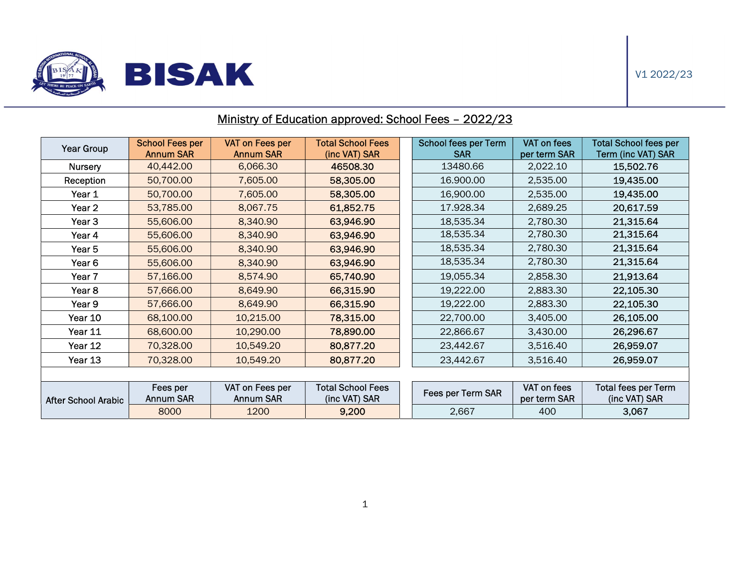

ł

## Year Group School Fees per Annum SAR VAT on Fees per Annum SAR Total School Fees (inc VAT) SAR School fees per Term SAR VAT on fees per term SAR Total School fees per Term (inc VAT) SAR Nursery | 40,442.00 | 6,066.30 | **46508.30** | 13480.66 | 2,022.10 | **15,502.76** Reception | 50,700.00 | 7,605.00 | **58,305.00** | 16.900.00 | 2,535.00 | 1**9,435.00 Year 1 50,700.00 7,605.00 58,305.00 1**6,900.00 2,535.00 **19,435.00** Year 2 53,785.00 8,067.75 61,852.75 17.928.34 2,689.25 20,617.59 Year 3 55,606.00 8,340.90 63,946.90 18,535.34 2,780.30 21,315.64 Year 4 <mark>| 55,606.00 | 8,340.90 | 63,946.90 |</mark> 18,535.34 | 2,780.30 | 21,315.64 Year 5 55,606.00 8,340.90 63,946.90 18,535.34 2,780.30 21,315.64 Year 6 <mark>| 55,606.00 | 8,340.90 | 63,946.90 |</mark> 18,535.34 | 2,780.30 | **21,315.64** Year 7 57,166.00 8,574.90 65,740.90 19,055.34 2,858.30 21,913.64 Year 8 <mark>| 57,666.00 | 8,649.90 |</mark> 66,315.90 | 19,222.00 | 2,883.30 | 22,105.30 Year 9 57,666.00 8,649.90 66,315.90 19,222.00 2,883.30 22,105.30 Year 10 | 68,100.00 | 10,215.00 | **78,315.00** | 22,700.00 | 3,405.00 | **26,105.00** Year 11 | 68,600.00 | 10,290.00 | 7**8,890.00** | 22,866.67 | 3,430.00 | **26,296.67** Year 12 | 70,328.00 | 10,549.20 | 80,877.20 | | 23,442.67 | 3,516.40 | **26,959.07** Year 13 | 70,328.00 | 10,549.20 | **80,877.20** | 23,442.67 | 3,516.40 | **26,959.07** After School Arabic Fees per Annum SAR VAT on Fees per Annum SAR Total School Fees otal School Fees<br>(inc VAT) SAR Fees per Term SAR per term SAR per term SAR Total fees per Term (inc VAT) SAR 8000 | 1200 | **9,200 |** 2,667 | 400 | **3,067**

## Ministry of Education approved: School Fees – 2022/23